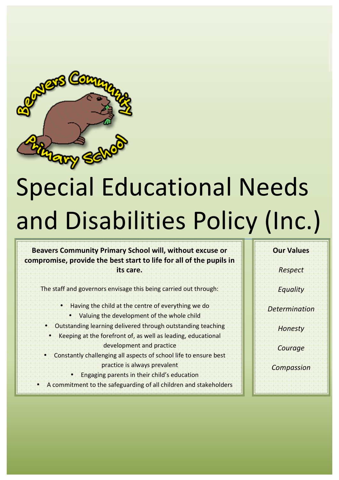

# Special Educational Needs and Disabilities Policy (Inc.)

Beavers Community Primary School will, without excuse or compromise, provide the best start to life for all of the pupils in **its'care.**

The staff and governors envisage this being carried out through:

- Having the child at the centre of everything we do
	- Valuing the development of the whole child
- Outstanding learning delivered through outstanding teaching
- $\bullet$  . Keeping at the forefront of, as well as leading, educational. development and practice
- Constantly challenging all aspects of school life to ensure best practice is always prevalent.
	- Engaging parents in their child's education
- A commitment to the safeguarding of all children and stakeholders.

**Our Values** 

*Respect*

*Equality*

*Determination*

*Honesty*

*Courage*

*Compassion*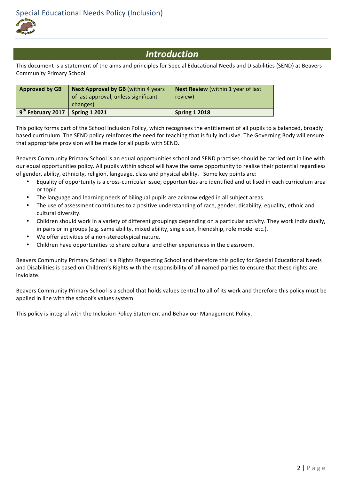

# *Introduction*

This document is a statement of the aims and principles for Special Educational Needs and Disabilities (SEND) at Beavers Community Primary School.

| <b>Approved by GB</b>         | Next Approval by GB (within 4 years) | <b>Next Review</b> (within 1 year of last |
|-------------------------------|--------------------------------------|-------------------------------------------|
|                               | of last approval, unless significant | review)                                   |
|                               | changes)                             |                                           |
| 9 <sup>th</sup> February 2017 | <b>Spring 1 2021</b>                 | <b>Spring 1 2018</b>                      |

This policy forms part of the School Inclusion Policy, which recognises the entitlement of all pupils to a balanced, broadly based curriculum. The SEND policy reinforces the need for teaching that is fully inclusive. The Governing Body will ensure that appropriate provision will be made for all pupils with SEND.

Beavers Community Primary School is an equal opportunities school and SEND practises should be carried out in line with our equal opportunities policy. All pupils within school will have the same opportunity to realise their potential regardless of gender, ability, ethnicity, religion, language, class and physical ability. Some key points are:

- Equality of opportunity is a cross-curricular issue; opportunities are identified and utilised in each curriculum area or topic.
- The language and learning needs of bilingual pupils are acknowledged in all subject areas.
- The use of assessment contributes to a positive understanding of race, gender, disability, equality, ethnic and cultural diversity.
- Children should work in a variety of different groupings depending on a particular activity. They work individually, in pairs or in groups (e.g. same ability, mixed ability, single sex, friendship, role model etc.).
- We offer activities of a non-stereotypical nature.
- Children have opportunities to share cultural and other experiences in the classroom.

Beavers Community Primary School is a Rights Respecting School and therefore this policy for Special Educational Needs and Disabilities is based on Children's Rights with the responsibility of all named parties to ensure that these rights are inviolate.

Beavers Community Primary School is a school that holds values central to all of its work and therefore this policy must be applied in line with the school's values system.

This policy is integral with the Inclusion Policy Statement and Behaviour Management Policy.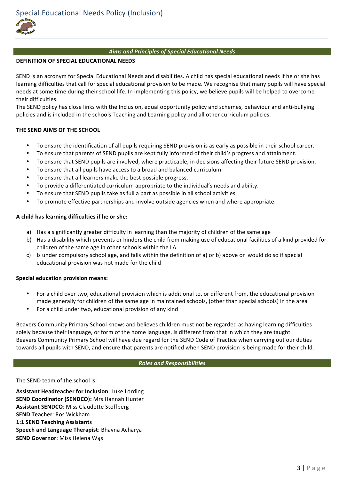# *Aims\*and\*Principles\*of\*Special\*Educational\*Needs*

# **DEFINITION'OF'SPECIAL'EDUCATIONAL'NEEDS**

SEND is an acronym for Special Educational Needs and disabilities. A child has special educational needs if he or she has learning difficulties that call for special educational provision to be made. We recognise that many pupils will have special needs at some time during their school life. In implementing this policy, we believe pupils will be helped to overcome their difficulties.

The SEND policy has close links with the Inclusion, equal opportunity policy and schemes, behaviour and anti-bullying policies and is included in the schools Teaching and Learning policy and all other curriculum policies.

# THE SEND AIMS OF THE SCHOOL

- To ensure the identification of all pupils requiring SEND provision is as early as possible in their school career.
- To ensure that parents of SEND pupils are kept fully informed of their child's progress and attainment.
- To ensure that SEND pupils are involved, where practicable, in decisions affecting their future SEND provision.
- To ensure that all pupils have access to a broad and balanced curriculum.
- To ensure that all learners make the best possible progress.
- To provide a differentiated curriculum appropriate to the individual's needs and ability.
- To ensure that SEND pupils take as full a part as possible in all school activities.
- To promote effective partnerships and involve outside agencies when and where appropriate.

#### A child has learning difficulties if he or she:

- a) Has a significantly greater difficulty in learning than the majority of children of the same age
- b) Has a disability which prevents or hinders the child from making use of educational facilities of a kind provided for children of the same age in other schools within the LA
- c) Is under compulsory school age, and falls within the definition of a) or b) above or would do so if special educational provision was not made for the child

#### **Special'education'provision'means:'**

- For a child over two, educational provision which is additional to, or different from, the educational provision made generally for children of the same age in maintained schools, (other than special schools) in the area
- For a child under two, educational provision of any kind

Beavers Community Primary School knows and believes children must not be regarded as having learning difficulties solely because their language, or form of the home language, is different from that in which they are taught. Beavers Community Primary School will have due regard for the SEND Code of Practice when carrying out our duties towards all pupils with SEND, and ensure that parents are notified when SEND provision is being made for their child.

#### *Roles\*and\*Responsibilities*

The SEND team of the school is:

**Assistant Headteacher for Inclusion: Luke Lording SEND Coordinator (SENDCO):** Mrs Hannah Hunter **Assistant SENDCO: Miss Claudette Stoffberg SEND Teacher: Ros Wickham 1:1 SEND Teaching Assistants Speech and Language Therapist: Bhavna Acharya SEND Governor: Miss Helena Wąs**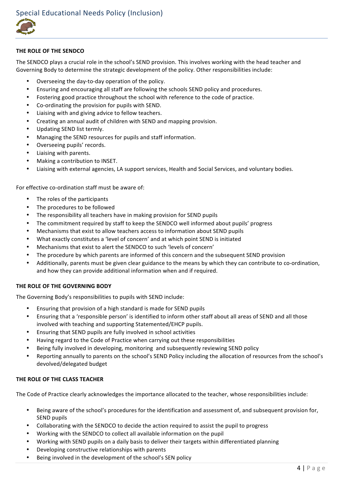

# THE ROLE OF THE SENDCO

The SENDCO plays a crucial role in the school's SEND provision. This involves working with the head teacher and Governing Body to determine the strategic development of the policy. Other responsibilities include:

- Overseeing the day-to-day operation of the policy.
- Ensuring and encouraging all staff are following the schools SEND policy and procedures.
- Fostering good practice throughout the school with reference to the code of practice.
- Co-ordinating the provision for pupils with SEND.
- Liaising with and giving advice to fellow teachers.
- Creating an annual audit of children with SEND and mapping provision.
- Updating SEND list termly.
- Managing the SEND resources for pupils and staff information.
- Overseeing pupils' records.
- Liaising with parents.
- Making a contribution to INSET.
- Liaising with external agencies, LA support services, Health and Social Services, and voluntary bodies.

For effective co-ordination staff must be aware of:

- The roles of the participants
- The procedures to be followed
- The responsibility all teachers have in making provision for SEND pupils
- The commitment required by staff to keep the SENDCO well informed about pupils' progress
- Mechanisms that exist to allow teachers access to information about SEND pupils
- What exactly constitutes a 'level of concern' and at which point SEND is initiated
- Mechanisms that exist to alert the SENDCO to such 'levels of concern'
- The procedure by which parents are informed of this concern and the subsequent SEND provision
- Additionally, parents must be given clear guidance to the means by which they can contribute to co-ordination, and how they can provide additional information when and if required.

# **THE ROLE OF THE GOVERNING BODY**

The Governing Body's responsibilities to pupils with SEND include:

- Ensuring that provision of a high standard is made for SEND pupils
- Ensuring that a 'responsible person' is identified to inform other staff about all areas of SEND and all those involved with teaching and supporting Statemented/EHCP pupils.
- Ensuring that SEND pupils are fully involved in school activities
- Having regard to the Code of Practice when carrying out these responsibilities
- Being fully involved in developing, monitoring and subsequently reviewing SEND policy
- Reporting annually to parents on the school's SEND Policy including the allocation of resources from the school's devolved/delegated budget

# **THE'ROLE'OF'THE CLASS'TEACHER**

The Code of Practice clearly acknowledges the importance allocated to the teacher, whose responsibilities include:

- Being aware of the school's procedures for the identification and assessment of, and subsequent provision for, SEND pupils
- Collaborating with the SENDCO to decide the action required to assist the pupil to progress
- Working with the SENDCO to collect all available information on the pupil
- Working with SEND pupils on a daily basis to deliver their targets within differentiated planning
- Developing constructive relationships with parents
- Being involved in the development of the school's SEN policy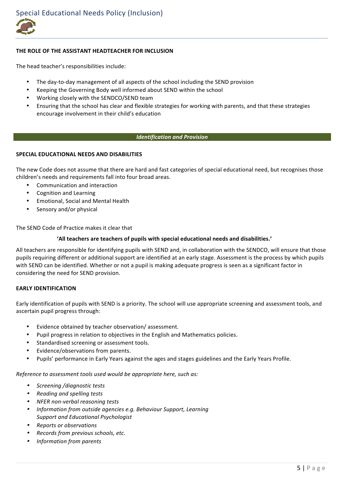

# THE ROLE OF THE ASSISTANT HEADTEACHER FOR INCLUSION

The head teacher's responsibilities include:

- The day-to-day management of all aspects of the school including the SEND provision
- Keeping the Governing Body well informed about SEND within the school
- Working closely with the SENDCO/SEND team
- Ensuring that the school has clear and flexible strategies for working with parents, and that these strategies encourage involvement in their child's education

# *Identification\*and\*Provision*

# **SPECIAL'EDUCATIONAL'NEEDS'AND'DISABILITIES**

The new Code does not assume that there are hard and fast categories of special educational need, but recognises those children's needs and requirements fall into four broad areas.

- Communication and interaction
- Cognition and Learning
- Emotional, Social and Mental Health
- Sensory and/or physical

The SEND Code of Practice makes it clear that

#### **'All'teachers'are'teachers'of'pupils'with'special'educational'needs and'disabilities.'**

All teachers are responsible for identifying pupils with SEND and, in collaboration with the SENDCO, will ensure that those pupils requiring different or additional support are identified at an early stage. Assessment is the process by which pupils with SEND can be identified. Whether or not a pupil is making adequate progress is seen as a significant factor in considering the need for SEND provision.

# **EARLY'IDENTIFICATION**

Early identification of pupils with SEND is a priority. The school will use appropriate screening and assessment tools, and ascertain pupil progress through:

- Evidence obtained by teacher observation/assessment.
- Pupil progress in relation to objectives in the English and Mathematics policies.
- Standardised screening or assessment tools.
- Evidence/observations from parents.
- Pupils' performance in Early Years against the ages and stages guidelines and the Early Years Profile.

*Reference to assessment tools used would be appropriate here, such as:* 

- *Screening'/diagnostic'tests'*
- •*Reading'and'spelling'tests*
- NFER non-verbal reasoning tests
- •*Information from outside agencies e.g. Behaviour Support, Learning Support'and'Educational'Psychologist'*
- •*Reports'or'observations*
- •*Records'from'previous'schools,'etc.*
- •*Information'from'parents*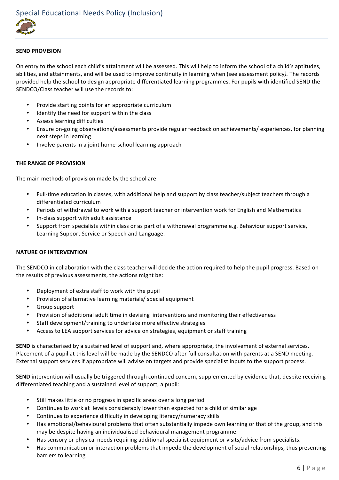

#### **SEND PROVISION'**

On entry to the school each child's attainment will be assessed. This will help to inform the school of a child's aptitudes, abilities, and attainments, and will be used to improve continuity in learning when (see assessment policy). The records provided help the school to design appropriate differentiated learning programmes. For pupils with identified SEND the SENDCO/Class teacher will use the records to:

- Provide starting points for an appropriate curriculum
- Identify the need for support within the class
- Assess learning difficulties
- Ensure on-going observations/assessments provide regular feedback on achievements/ experiences, for planning next steps in learning
- Involve parents in a joint home-school learning approach

# **THE RANGE OF PROVISION**

The main methods of provision made by the school are:

- Full-time education in classes, with additional help and support by class teacher/subject teachers through a differentiated curriculum
- Periods of withdrawal to work with a support teacher or intervention work for English and Mathematics
- In-class support with adult assistance
- Support from specialists within class or as part of a withdrawal programme e.g. Behaviour support service, Learning Support Service or Speech and Language.

# **NATURE'OF'INTERVENTION**

The SENDCO in collaboration with the class teacher will decide the action required to help the pupil progress. Based on the results of previous assessments, the actions might be:

- Deployment of extra staff to work with the pupil
- Provision of alternative learning materials/ special equipment
- Group support
- Provision of additional adult time in devising interventions and monitoring their effectiveness
- Staff development/training to undertake more effective strategies
- Access to LEA support services for advice on strategies, equipment or staff training

**SEND** is characterised by a sustained level of support and, where appropriate, the involvement of external services. Placement of a pupil at this level will be made by the SENDCO after full consultation with parents at a SEND meeting. External support services if appropriate will advise on targets and provide specialist inputs to the support process.

**SEND** intervention will usually be triggered through continued concern, supplemented by evidence that, despite receiving differentiated teaching and a sustained level of support, a pupil:

- Still makes little or no progress in specific areas over a long period
- Continues to work at levels considerably lower than expected for a child of similar age
- Continues to experience difficulty in developing literacy/numeracy skills
- Has emotional/behavioural problems that often substantially impede own learning or that of the group, and this may be despite having an individualised behavioural management programme.
- Has sensory or physical needs requiring additional specialist equipment or visits/advice from specialists.
- Has communication or interaction problems that impede the development of social relationships, thus presenting barriers to learning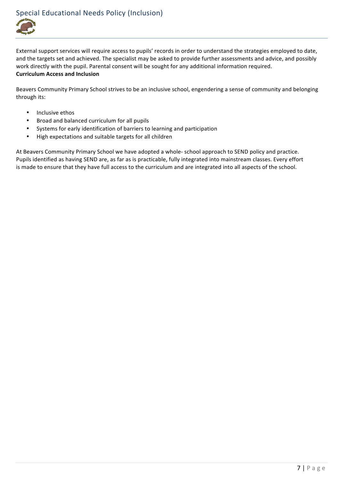

Special Educational Needs Policy (Inclusion)

External support services will require access to pupils' records in order to understand the strategies employed to date, and the targets set and achieved. The specialist may be asked to provide further assessments and advice, and possibly work directly with the pupil. Parental consent will be sought for any additional information required. **Curriculum'Access'and'Inclusion**

Beavers Community Primary School strives to be an inclusive school, engendering a sense of community and belonging through its:

- Inclusive ethos
- Broad and balanced curriculum for all pupils
- Systems for early identification of barriers to learning and participation
- High expectations and suitable targets for all children

At Beavers Community Primary School we have adopted a whole- school approach to SEND policy and practice. Pupils identified as having SEND are, as far as is practicable, fully integrated into mainstream classes. Every effort is made to ensure that they have full access to the curriculum and are integrated into all aspects of the school.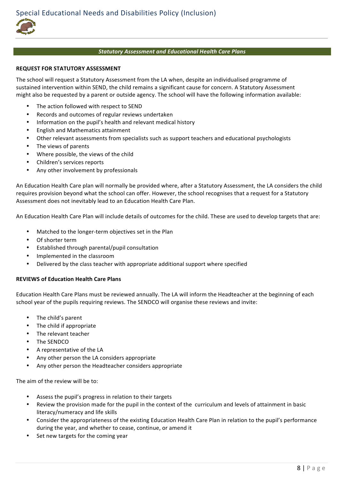#### *Statutory\*Assessment\*and\*Educational\*Health\*Care\*Plans*

#### **REQUEST FOR STATUTORY ASSESSMENT**

The school will request a Statutory Assessment from the LA when, despite an individualised programme of sustained intervention within SEND, the child remains a significant cause for concern. A Statutory Assessment might also be requested by a parent or outside agency. The school will have the following information available:

- The action followed with respect to SEND
- Records and outcomes of regular reviews undertaken
- Information on the pupil's health and relevant medical history
- English and Mathematics attainment
- Other relevant assessments from specialists such as support teachers and educational psychologists
- The views of parents
- Where possible, the views of the child
- Children's services reports
- Any other involvement by professionals

An Education Health Care plan will normally be provided where, after a Statutory Assessment, the LA considers the child requires provision beyond what the school can offer. However, the school recognises that a request for a Statutory Assessment does not inevitably lead to an Education Health Care Plan.

An Education Health Care Plan will include details of outcomes for the child. These are used to develop targets that are:

- Matched to the longer-term objectives set in the Plan
- Of shorter term
- Established through parental/pupil consultation
- Implemented in the classroom
- Delivered by the class teacher with appropriate additional support where specified

#### **REVIEWS'of'Education'Health'Care'Plans**

Education Health Care Plans must be reviewed annually. The LA will inform the Headteacher at the beginning of each school year of the pupils requiring reviews. The SENDCO will organise these reviews and invite:

- The child's parent
- The child if appropriate
- The relevant teacher
- The SENDCO
- A representative of the LA
- Any other person the LA considers appropriate
- Any other person the Headteacher considers appropriate

The aim of the review will be to:

- Assess the pupil's progress in relation to their targets
- Review the provision made for the pupil in the context of the curriculum and levels of attainment in basic literacy/numeracy and life skills
- Consider the appropriateness of the existing Education Health Care Plan in relation to the pupil's performance during the year, and whether to cease, continue, or amend it
- Set new targets for the coming year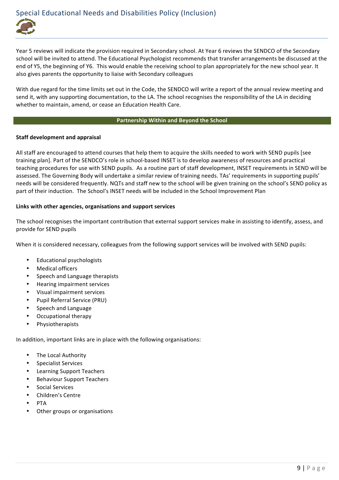Year 5 reviews will indicate the provision required in Secondary school. At Year 6 reviews the SENDCO of the Secondary school will be invited to attend. The Educational Psychologist recommends that transfer arrangements be discussed at the end of Y5, the beginning of Y6. This would enable the receiving school to plan appropriately for the new school year. It also gives parents the opportunity to liaise with Secondary colleagues

With due regard for the time limits set out in the Code, the SENDCO will write a report of the annual review meeting and send it, with any supporting documentation, to the LA. The school recognises the responsibility of the LA in deciding whether to maintain, amend, or cease an Education Health Care.

#### **Partnership'Within'and Beyond the'School**

# **Staff development and appraisal**

All staff are encouraged to attend courses that help them to acquire the skills needed to work with SEND pupils [see training plan]. Part of the SENDCO's role in school-based INSET is to develop awareness of resources and practical teaching procedures for use with SEND pupils. As a routine part of staff development, INSET requirements in SEND will be assessed. The Governing Body will undertake a similar review of training needs. TAs' requirements in supporting pupils' needs will be considered frequently. NQTs and staff new to the school will be given training on the school's SEND policy as part of their induction. The School's INSET needs will be included in the School Improvement Plan

# Links with other agencies, organisations and support services

The school recognises the important contribution that external support services make in assisting to identify, assess, and provide for SEND pupils

When it is considered necessary, colleagues from the following support services will be involved with SEND pupils:

- Educational psychologists
- Medical officers
- Speech and Language therapists
- Hearing impairment services
- Visual impairment services
- Pupil Referral Service (PRU)
- Speech and Language
- Occupational therapy
- **Physiotherapists**

In addition, important links are in place with the following organisations:

- The Local Authority
- Specialist Services
- Learning Support Teachers
- **Behaviour Support Teachers**
- Social Services
- Children's Centre
- PTA
- Other groups or organisations